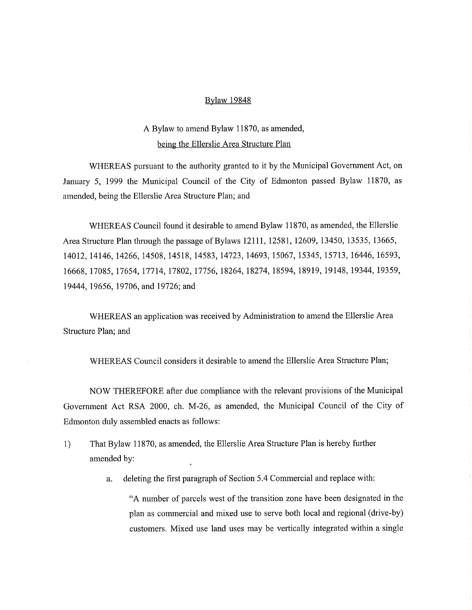### Bylaw 19848

# A Bylaw to amend Bylaw 11870, as amended, being the Ellerslie Area Structure Plan

WHEREAS pursuant to the authority granted to it by the Municipal Government Act, on January 5, 1999 the Municipal Council of the City of Edmonton passed Bylaw 11870, as amended, being the Ellerslie Area Structure Plan; and

WHEREAS Council found it desirable to amend Bylaw 11870, as amended, the Ellerslie Area Structure Plan through the passage of Bylaws 12111, 12581, 12609, 13450, 13535, 13665, 14012, 14146, 14266, 14508, 14518, 14583, 14723, 14693, 15067, 15345, 15713, 16446, 16593, 16668, 17085, 17654, 17714, 17802, 17756, 18264, 18274, 18594, 18919, 19148, 19344, 19359, 19444, 19656, 19706, and 19726; and

WHEREAS an application was received by Administration to amend the Ellerslie Area Structure Plan; and

WHEREAS Council considers it desirable to amend the Ellerslie Area Structure Plan;

NOW THEREFORE after due compliance with the relevant provisions of the Municipal Government Act RSA 2000, ch. M-26, as amended, the Municipal Council of the City of Edmonton duly assembled enacts as follows:

- 1) That Bylaw 11870, as amended, the Ellerslie Area Structure Plan is hereby further amended by:
	- a. deleting the first paragraph of Section 5.4 Commercial and replace with:

"A number of parcels west of the transition zone have been designated in the plan as commercial and mixed use to serve both local and regional (drive-by) customers. Mixed use land uses may be vertically integrated within a single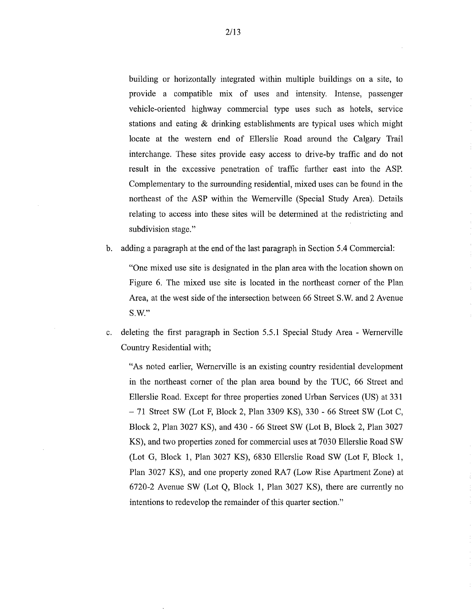building or horizontally integrated within multiple buildings on a site, to provide a compatible mix of uses and intensity. Intense, passenger vehicle-oriented highway commercial type uses such as hotels, service stations and eating & drinking establishments are typical uses which might locate at the western end of Ellerslie Road around the Calgary Trail interchange. These sites provide easy access to drive-by traffic and do not result in the excessive penetration of traffic further east into the ASP. Complementary to the surrounding residential, mixed uses can be found in the northeast of the ASP within the Wemerville (Special Study Area). Details relating to access into these sites will be determined at the redistricting and subdivision stage."

b. adding a paragraph at the end of the last paragraph in Section 5.4 Commercial:

"One mixed use site is designated in the plan area with the location shown on Figure 6. The mixed use site is located in the northeast comer of the Plan Area, at the west side of the intersection between 66 Street S.W. and 2 Avenue S.W."

c. deleting the first paragraph in Section 5.5.1 Special Study Area - Wemerville Country Residential with;

"As noted earlier, Wemerville is an existing country residential development in the northeast corner of the plan area bound by the TUC, 66 Street and Ellerslie Road. Except for three properties zoned Urban Services (US) at 331 — 71 Street SW (Lot F, Block 2, Plan 3309 KS), 330 - 66 Street SW (Lot C, Block 2, Plan 3027 KS), and 430 - 66 Street SW (Lot B, Block 2, Plan 3027 KS), and two properties zoned for commercial uses at 7030 Ellerslie Road SW (Lot G, Block 1, Plan 3027 KS), 6830 Ellerslie Road SW (Lot F, Block 1, Plan 3027 KS), and one property zoned RA7 (Low Rise Apartment Zone) at 6720-2 Avenue SW (Lot Q, Block 1, Plan 3027 KS), there are currently no intentions to redevelop the remainder of this quarter section."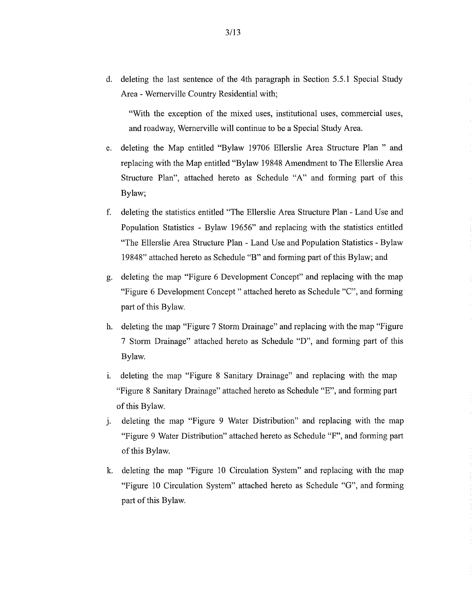d. deleting the last sentence of the 4th paragraph in Section 5.5.1 Special Study Area - Wernerville Country Residential with;

"With the exception of the mixed uses, institutional uses, commercial uses, and roadway, Wernerville will continue to be a Special Study Area.

- e. deleting the Map entitled "Bylaw 19706 Ellerslie Area Structure Plan " and replacing with the Map entitled "Bylaw 19848 Amendment to The Ellerslie Area Structure Plan", attached hereto as Schedule "A" and forming part of this Bylaw;
- f. deleting the statistics entitled "The Ellerslie Area Structure Plan Land Use and Population Statistics - Bylaw 19656" and replacing with the statistics entitled "The Ellerslie Area Structure Plan - Land Use and Population Statistics - Bylaw 19848" attached hereto as Schedule "B" and forming part of this Bylaw; and
- g. deleting the map "Figure 6 Development Concept" and replacing with the map "Figure 6 Development Concept" attached hereto as Schedule "C", and forming part of this Bylaw.
- h. deleting the map "Figure 7 Storm Drainage" and replacing with the map "Figure 7 Storm Drainage" attached hereto as Schedule "D", and forming part of this Bylaw.
- i. deleting the map "Figure 8 Sanitary Drainage" and replacing with the map "Figure 8 Sanitary Drainage" attached hereto as Schedule "E", and forming part of this Bylaw.
- j. deleting the map "Figure 9 Water Distribution" and replacing with the map "Figure 9 Water Distribution" attached hereto as Schedule "F", and forming part of this Bylaw.
- k. deleting the map "Figure 10 Circulation System" and replacing with the map "Figure 10 Circulation System" attached hereto as Schedule "G", and forming part of this Bylaw.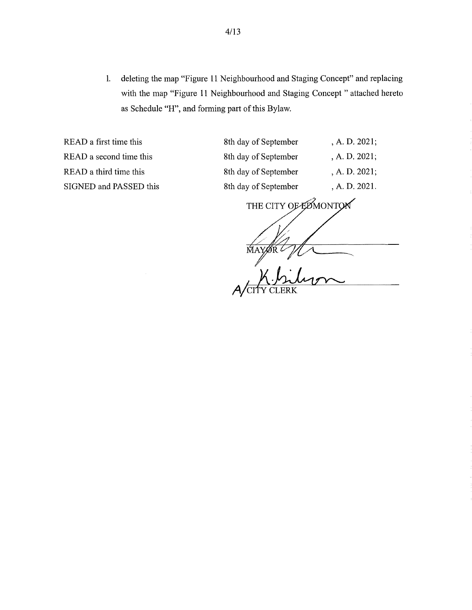1. deleting the map "Figure 11 Neighbourhood and Staging Concept" and replacing with the map "Figure 11 Neighbourhood and Staging Concept "attached hereto as Schedule "H", and forming part of this Bylaw.

READ a first time this 8th READ a second time this 8th READ a third time this 8th SIGNED and PASSED this 8th

| h day of September | , A. D. 2021;    |
|--------------------|------------------|
| h day of September | , A. D. 2021;    |
| h day of September | , A. D. $2021$ ; |
| h day of September | , A. D. 2021.    |
|                    |                  |

THE CITY OF EDMONTON N MAYOR L " A/CITY CLERK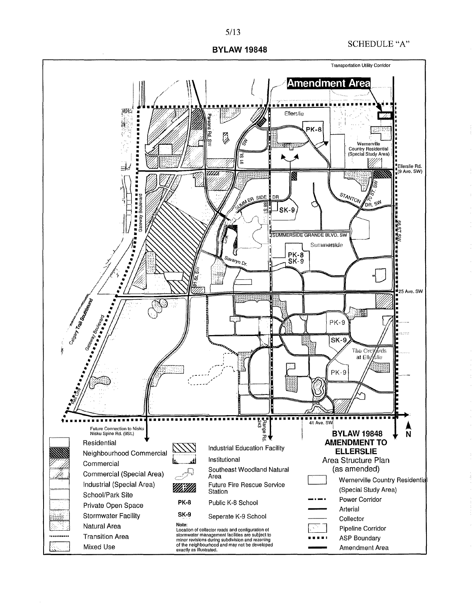# SCHEDULE "A"

ASP Boundary Amendment Area

111111111111111111111





• •

,,,,,,,,,,,

ķ

Transition Area Mixed Use

5/13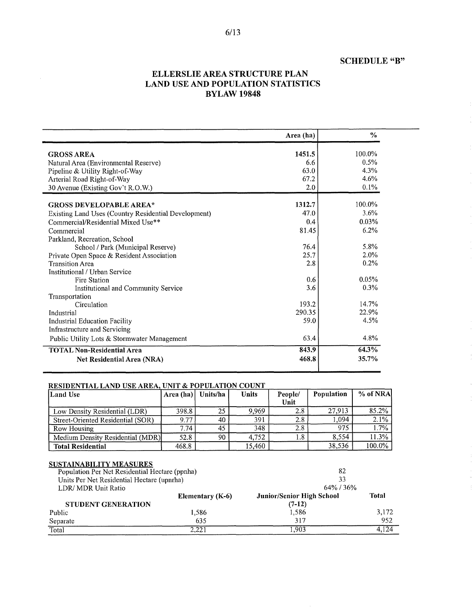# SCHEDULE "B"

# ELLERSLIE AREA STRUCTURE PLAN LAND USE AND POPULATION STATISTICS BYLAW 19848

|                                                      | Area (ha) | $\%$    |
|------------------------------------------------------|-----------|---------|
| <b>GROSS AREA</b>                                    | 1451.5    | 100.0%  |
| Natural Area (Environmental Reserve)                 | 6.6       | 0.5%    |
| Pipeline & Utility Right-of-Way                      | 63.0      | 4.3%    |
| Arterial Road Right-of-Way                           | 67.2      | 4.6%    |
| 30 Avenue (Existing Gov't R.O.W.)                    | 2.0       | 0.1%    |
| <b>GROSS DEVELOPABLE AREA*</b>                       | 1312.7    | 100.0%  |
| Existing Land Uses (Country Residential Development) | 47.0      | 3.6%    |
| Commercial/Residential Mixed Use**                   | 0.4       | 0.03%   |
| Commercial                                           | 81.45     | 6.2%    |
| Parkland, Recreation, School                         |           |         |
| School / Park (Municipal Reserve)                    | 76.4      | 5.8%    |
| Private Open Space & Resident Association            | 25.7      | 2.0%    |
| <b>Transition Area</b>                               | 2.8       | $0.2\%$ |
| <b>Institutional / Urban Service</b>                 |           |         |
| Fire Station                                         | 0.6       | 0.05%   |
| Institutional and Community Service                  | 3.6       | 0.3%    |
| Transportation                                       |           |         |
| Circulation                                          | 193.2     | 14.7%   |
| Industrial                                           | 290.35    | 22.9%   |
| <b>Industrial Education Facility</b>                 | 59.0      | 4.5%    |
| Infrastructure and Servicing                         |           |         |
| Public Utility Lots & Stormwater Management          | 63.4      | 4.8%    |
| <b>TOTAL Non-Residential Area</b>                    | 843.9     | 64.3%   |
| Net Residential Area (NRA)                           | 468.8     | 35.7%   |

### RESIDENTIAL LAND USE AREA, UNIT & POPULATION COUNT

| <b>Land Use</b>                   | Area (ha) | Units/ha | <b>Units</b> | People/ | <b>Population</b> | % of NRA |
|-----------------------------------|-----------|----------|--------------|---------|-------------------|----------|
|                                   |           |          |              | Unit    |                   |          |
| Low Density Residential (LDR)     | 398.8     | 25       | 9.969        | 2.8     | 27.913            | 85.2%    |
| Street-Oriented Residential (SOR) | 9.77      | 40       | 391          | 2.8     | 1,094             | $2.1\%$  |
| Row Housing                       | 7.74      | 45       | 348          | 2.8     | 975               | 1.7%     |
| Medium Density Residential (MDR)  | 52.8      | 90       | 4.752        | 1.8     | 8.554             | 11.3%    |
| <b>Total Residential</b>          | 468.8     |          | 15.460       |         | 38.536            | 100.0%   |

#### SUSTAINABILITY MEASURES

| Population Per Net Residential Hectare (ppnha) | 82<br>33                |                                  |       |  |
|------------------------------------------------|-------------------------|----------------------------------|-------|--|
| Units Per Net Residential Hectare (upnrha)     |                         |                                  |       |  |
| LDR/ MDR Unit Ratio                            |                         | $64\%$ / 36%                     |       |  |
|                                                | <b>Elementary (K-6)</b> | <b>Junior/Senior High School</b> | Total |  |
| STUDENT GENERATION                             |                         | $(7-12)$                         |       |  |
| Public                                         | 1,586                   | 1.586                            | 3,172 |  |
| Separate                                       | 635                     | 317                              | 952   |  |
| Total                                          | 2.221                   | .903                             | 4.124 |  |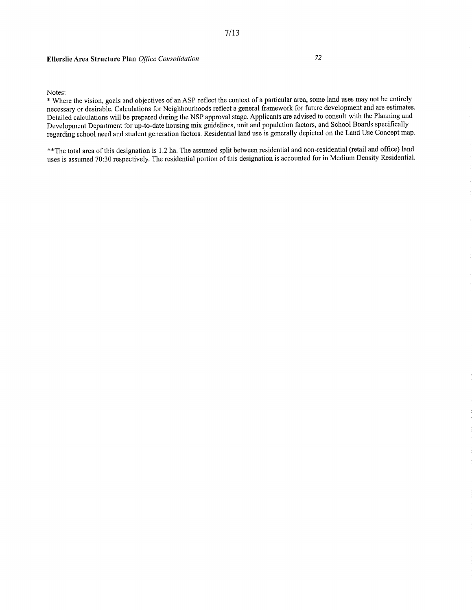### Ellerslie Area Structure Plan Office Consolidation 72

Notes:

\* Where the vision, goals and objectives of an ASP reflect the context of a particular area, some land uses may not be entirely necessary or desirable. Calculations for Neighbourhoods reflect a general framework for future development and are estimates. Detailed calculations will be prepared during the NSP approval stage. Applicants are advised to consult with the Planning and Development Department for up-to-date housing mix guidelines, unit and population factors, and School Boards specifically regarding school need and student generation factors. Residential land use is generally depicted on the Land Use Concept map.

7/13

\*\*The total area of this designation is 1.2 ha. The assumed split between residential and non-residential (retail and office) land uses is assumed 70:30 respectively. The residential portion of this designation is accounted for in Medium Density Residential.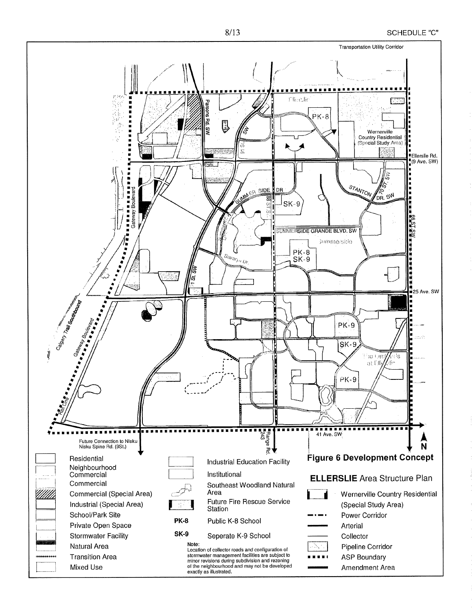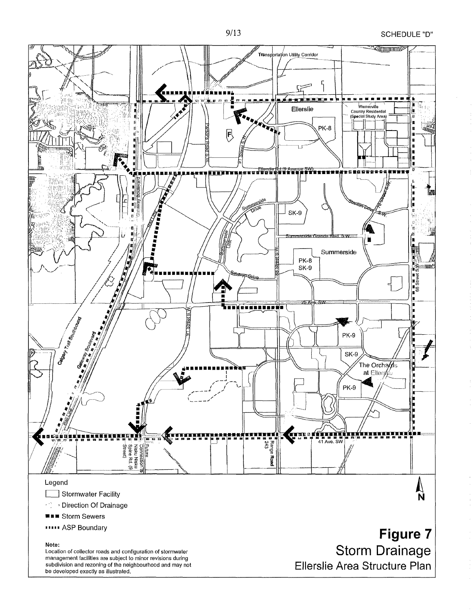SCHEDULE "D"



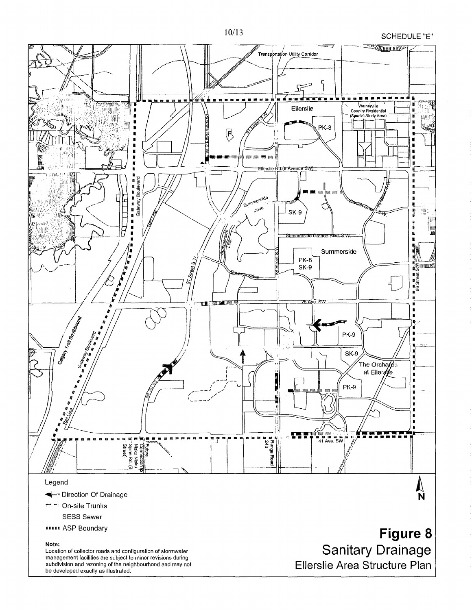

**SCHEDULE "E"** 

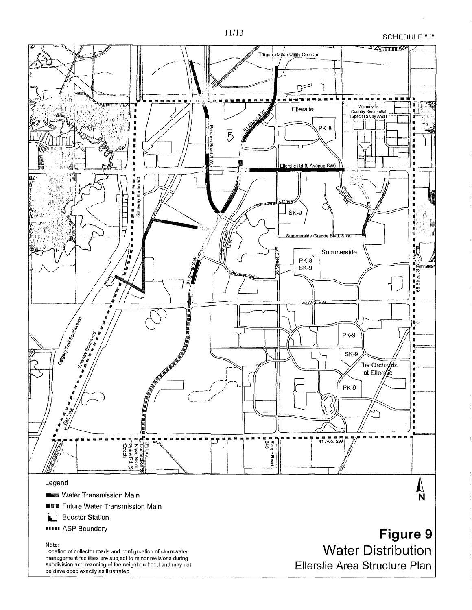

**SCHEDULE "F"** 

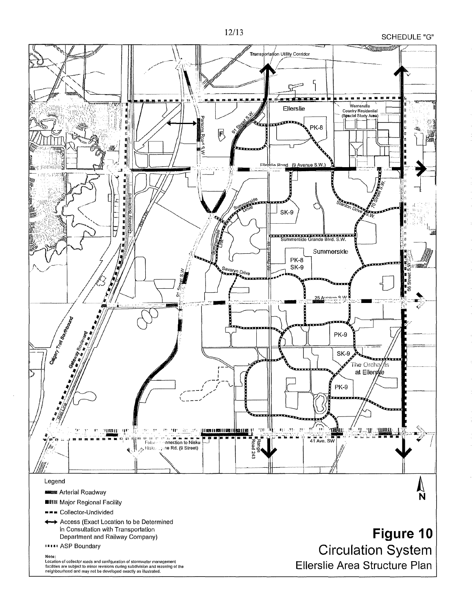